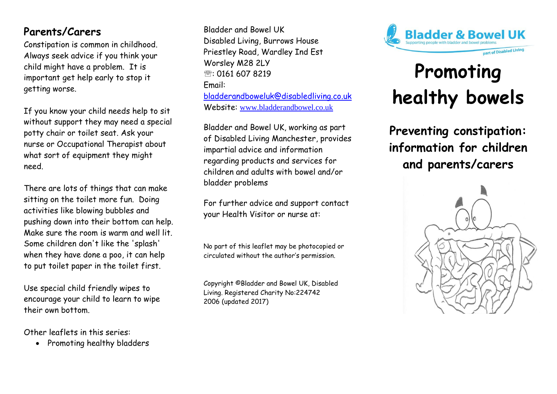# **Parents/Carers**

Constipation is common in childhood. Always seek advice if you think your child might have a problem. It is important get help early to stop it getting worse.

If you know your child needs help to sit without support they may need a special potty chair or toilet seat. Ask your nurse or Occupational Therapist about what sort of equipment they might need.

There are lots of things that can make sitting on the toilet more fun. Doing activities like blowing bubbles and pushing down into their bottom can help. Make sure the room is warm and well lit. Some children don't like the 'splash' when they have done a poo, it can help to put toilet paper in the toilet first.

Use special child friendly wipes to encourage your child to learn to wipe their own bottom.

Other leaflets in this series:

• Promoting healthy bladders

Bladder and Bowel UK Disabled Living, Burrows House Priestley Road, Wardley Ind Est Worsley M28 2LY  $\mathbb{R}$ : 0161 607 8219 Email: [bladderandboweluk@disabledliving.co.uk](mailto:bladderandboweluk@disabledliving.co.uk) Website: [www.bladderandbowel.co.uk](http://www.bladderandbowel.co.uk/)

Bladder and Bowel UK, working as part of Disabled Living Manchester, provides impartial advice and information regarding products and services for children and adults with bowel and/or bladder problems

For further advice and support contact your Health Visitor or nurse at:

No part of this leaflet may be photocopied or circulated without the author's permission.

Copyright ©Bladder and Bowel UK, Disabled Living. Registered Charity No:224742 2006 (updated 2017)



# **Promoting healthy bowels**

**Preventing constipation: information for children and parents/carers**